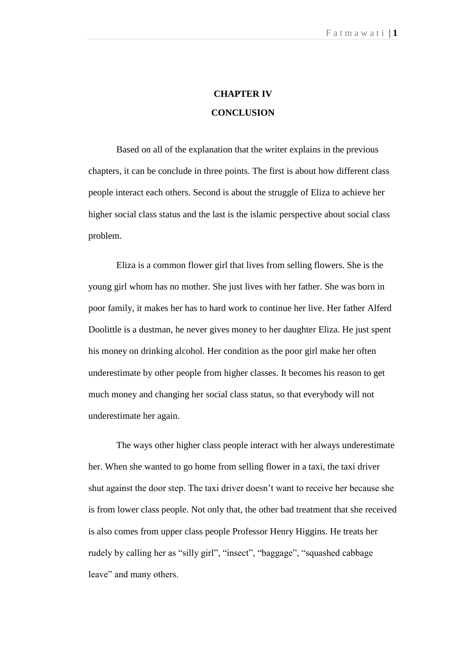## **CHAPTER IV CONCLUSION**

 Based on all of the explanation that the writer explains in the previous chapters, it can be conclude in three points. The first is about how different class people interact each others. Second is about the struggle of Eliza to achieve her higher social class status and the last is the islamic perspective about social class problem.

 Eliza is a common flower girl that lives from selling flowers. She is the young girl whom has no mother. She just lives with her father. She was born in poor family, it makes her has to hard work to continue her live. Her father Alferd Doolittle is a dustman, he never gives money to her daughter Eliza. He just spent his money on drinking alcohol. Her condition as the poor girl make her often underestimate by other people from higher classes. It becomes his reason to get much money and changing her social class status, so that everybody will not underestimate her again.

 The ways other higher class people interact with her always underestimate her. When she wanted to go home from selling flower in a taxi, the taxi driver shut against the door step. The taxi driver doesn't want to receive her because she is from lower class people. Not only that, the other bad treatment that she received is also comes from upper class people Professor Henry Higgins. He treats her rudely by calling her as "silly girl", "insect", "baggage", "squashed cabbage leave" and many others.